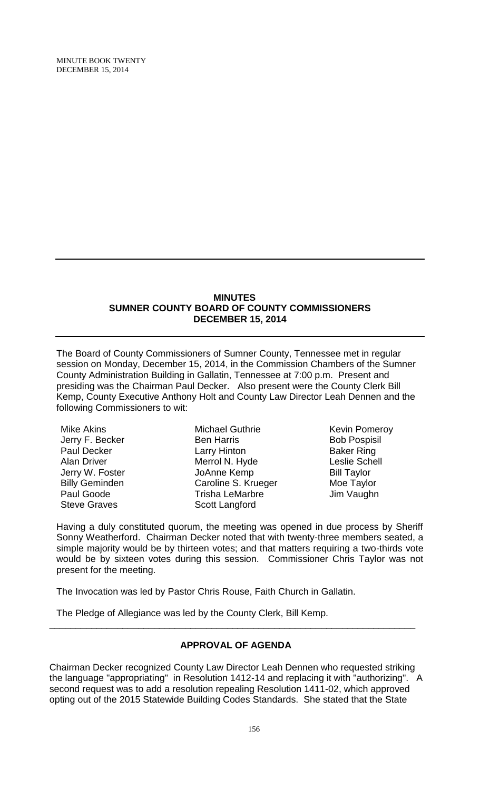MINUTE BOOK TWENTY DECEMBER 15, 2014

#### **MINUTES SUMNER COUNTY BOARD OF COUNTY COMMISSIONERS DECEMBER 15, 2014**

The Board of County Commissioners of Sumner County, Tennessee met in regular session on Monday, December 15, 2014, in the Commission Chambers of the Sumner County Administration Building in Gallatin, Tennessee at 7:00 p.m. Present and presiding was the Chairman Paul Decker. Also present were the County Clerk Bill Kemp, County Executive Anthony Holt and County Law Director Leah Dennen and the following Commissioners to wit:

Mike Akins Jerry F. Becker Paul Decker Alan Driver Jerry W. Foster Billy Geminden Paul Goode Steve Graves

Michael Guthrie Ben Harris Larry Hinton Merrol N. Hyde JoAnne Kemp Caroline S. Krueger Trisha LeMarbre Scott Langford

Kevin Pomeroy Bob Pospisil Baker Ring Leslie Schell Bill Taylor Moe Taylor Jim Vaughn

Having a duly constituted quorum, the meeting was opened in due process by Sheriff Sonny Weatherford. Chairman Decker noted that with twenty-three members seated, a simple majority would be by thirteen votes; and that matters requiring a two-thirds vote would be by sixteen votes during this session. Commissioner Chris Taylor was not present for the meeting.

The Invocation was led by Pastor Chris Rouse, Faith Church in Gallatin.

The Pledge of Allegiance was led by the County Clerk, Bill Kemp.

# **APPROVAL OF AGENDA**

\_\_\_\_\_\_\_\_\_\_\_\_\_\_\_\_\_\_\_\_\_\_\_\_\_\_\_\_\_\_\_\_\_\_\_\_\_\_\_\_\_\_\_\_\_\_\_\_\_\_\_\_\_\_\_\_\_\_\_\_\_\_\_\_\_\_\_\_\_\_

Chairman Decker recognized County Law Director Leah Dennen who requested striking the language "appropriating" in Resolution 1412-14 and replacing it with "authorizing". A second request was to add a resolution repealing Resolution 1411-02, which approved opting out of the 2015 Statewide Building Codes Standards. She stated that the State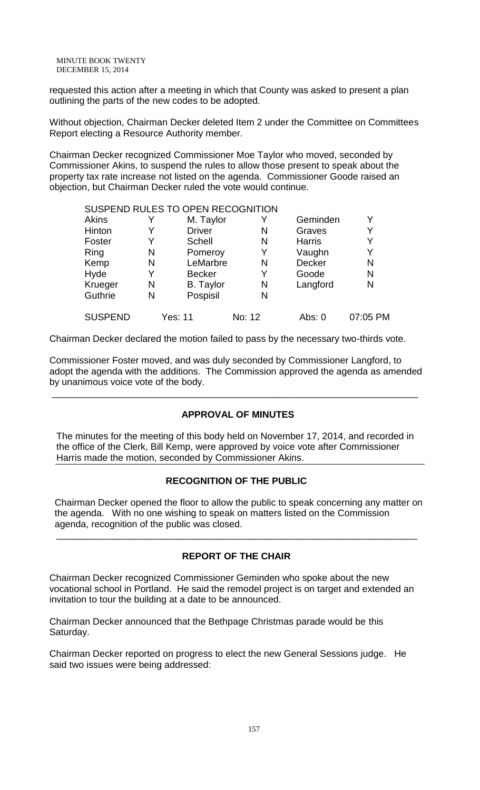MINUTE BOOK TWENTY DECEMBER 15, 2014

requested this action after a meeting in which that County was asked to present a plan outlining the parts of the new codes to be adopted.

Without objection, Chairman Decker deleted Item 2 under the Committee on Committees Report electing a Resource Authority member.

Chairman Decker recognized Commissioner Moe Taylor who moved, seconded by Commissioner Akins, to suspend the rules to allow those present to speak about the property tax rate increase not listed on the agenda. Commissioner Goode raised an objection, but Chairman Decker ruled the vote would continue.

|                |   | SUSPEND RULES TO OPEN RECOGNITION |        |               |          |
|----------------|---|-----------------------------------|--------|---------------|----------|
| <b>Akins</b>   |   | M. Taylor                         |        | Geminden      | Y        |
| Hinton         | Y | <b>Driver</b>                     | N      | Graves        | Y        |
| Foster         | Y | Schell                            | N      | <b>Harris</b> | Υ        |
| Ring           | N | Pomeroy                           | Y      | Vaughn        | Y        |
| Kemp           | N | LeMarbre                          | N      | Decker        | N        |
| Hyde           | Y | <b>Becker</b>                     | Y      | Goode         | N        |
| Krueger        | N | <b>B.</b> Taylor                  | N      | Langford      | N        |
| Guthrie        | N | Pospisil                          | N      |               |          |
| <b>SUSPEND</b> |   | Yes: 11                           | No: 12 | Abs: 0        | 07:05 PM |

Chairman Decker declared the motion failed to pass by the necessary two-thirds vote.

Commissioner Foster moved, and was duly seconded by Commissioner Langford, to adopt the agenda with the additions. The Commission approved the agenda as amended by unanimous voice vote of the body.

\_\_\_\_\_\_\_\_\_\_\_\_\_\_\_\_\_\_\_\_\_\_\_\_\_\_\_\_\_\_\_\_\_\_\_\_\_\_\_\_\_\_\_\_\_\_\_\_\_\_\_\_\_\_\_\_\_\_\_\_\_\_\_\_\_\_\_\_\_\_

### **APPROVAL OF MINUTES**

The minutes for the meeting of this body held on November 17, 2014, and recorded in the office of the Clerk, Bill Kemp, were approved by voice vote after Commissioner Harris made the motion, seconded by Commissioner Akins.

### **RECOGNITION OF THE PUBLIC**

 Chairman Decker opened the floor to allow the public to speak concerning any matter on the agenda. With no one wishing to speak on matters listed on the Commission agenda, recognition of the public was closed.

# **REPORT OF THE CHAIR**

\_\_\_\_\_\_\_\_\_\_\_\_\_\_\_\_\_\_\_\_\_\_\_\_\_\_\_\_\_\_\_\_\_\_\_\_\_\_\_\_\_\_\_\_\_\_\_\_\_\_\_\_\_\_\_\_\_\_\_\_\_\_\_\_\_\_\_\_\_

Chairman Decker recognized Commissioner Geminden who spoke about the new vocational school in Portland. He said the remodel project is on target and extended an invitation to tour the building at a date to be announced.

Chairman Decker announced that the Bethpage Christmas parade would be this Saturday.

Chairman Decker reported on progress to elect the new General Sessions judge. He said two issues were being addressed: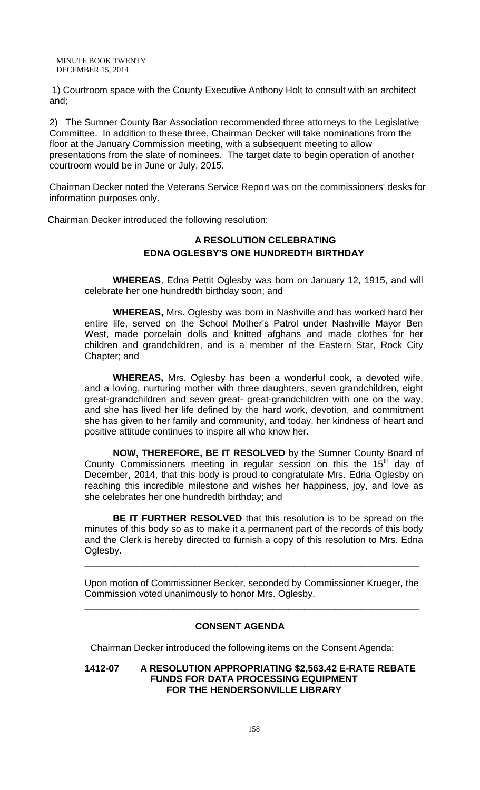1) Courtroom space with the County Executive Anthony Holt to consult with an architect and;

2) The Sumner County Bar Association recommended three attorneys to the Legislative Committee. In addition to these three, Chairman Decker will take nominations from the floor at the January Commission meeting, with a subsequent meeting to allow presentations from the slate of nominees. The target date to begin operation of another courtroom would be in June or July, 2015.

Chairman Decker noted the Veterans Service Report was on the commissioners' desks for information purposes only.

Chairman Decker introduced the following resolution:

# **A RESOLUTION CELEBRATING EDNA OGLESBY'S ONE HUNDREDTH BIRTHDAY**

**WHEREAS**, Edna Pettit Oglesby was born on January 12, 1915, and will celebrate her one hundredth birthday soon; and

**WHEREAS,** Mrs. Oglesby was born in Nashville and has worked hard her entire life, served on the School Mother's Patrol under Nashville Mayor Ben West, made porcelain dolls and knitted afghans and made clothes for her children and grandchildren, and is a member of the Eastern Star, Rock City Chapter; and

**WHEREAS,** Mrs. Oglesby has been a wonderful cook, a devoted wife, and a loving, nurturing mother with three daughters, seven grandchildren, eight great-grandchildren and seven great- great-grandchildren with one on the way, and she has lived her life defined by the hard work, devotion, and commitment she has given to her family and community, and today, her kindness of heart and positive attitude continues to inspire all who know her.

**NOW, THEREFORE, BE IT RESOLVED** by the Sumner County Board of County Commissioners meeting in regular session on this the  $15<sup>th</sup>$  day of December, 2014, that this body is proud to congratulate Mrs. Edna Oglesby on reaching this incredible milestone and wishes her happiness, joy, and love as she celebrates her one hundredth birthday; and

**BE IT FURTHER RESOLVED** that this resolution is to be spread on the minutes of this body so as to make it a permanent part of the records of this body and the Clerk is hereby directed to furnish a copy of this resolution to Mrs. Edna Oglesby.

Upon motion of Commissioner Becker, seconded by Commissioner Krueger, the Commission voted unanimously to honor Mrs. Oglesby.

\_\_\_\_\_\_\_\_\_\_\_\_\_\_\_\_\_\_\_\_\_\_\_\_\_\_\_\_\_\_\_\_\_\_\_\_\_\_\_\_\_\_\_\_\_\_\_\_\_\_\_\_\_\_\_\_\_\_\_\_\_\_\_\_

\_\_\_\_\_\_\_\_\_\_\_\_\_\_\_\_\_\_\_\_\_\_\_\_\_\_\_\_\_\_\_\_\_\_\_\_\_\_\_\_\_\_\_\_\_\_\_\_\_\_\_\_\_\_\_\_\_\_\_\_\_\_\_\_

# **CONSENT AGENDA**

Chairman Decker introduced the following items on the Consent Agenda:

**1412-07 A RESOLUTION APPROPRIATING \$2,563.42 E-RATE REBATE FUNDS FOR DATA PROCESSING EQUIPMENT FOR THE HENDERSONVILLE LIBRARY**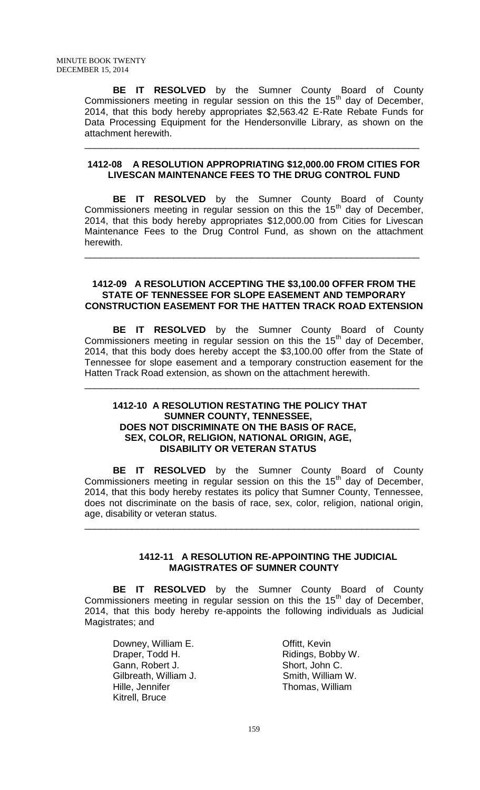**BE IT RESOLVED** by the Sumner County Board of County Commissioners meeting in regular session on this the  $15<sup>th</sup>$  day of December, 2014, that this body hereby appropriates \$2,563.42 E-Rate Rebate Funds for Data Processing Equipment for the Hendersonville Library, as shown on the attachment herewith.

### **1412-08 A RESOLUTION APPROPRIATING \$12,000.00 FROM CITIES FOR LIVESCAN MAINTENANCE FEES TO THE DRUG CONTROL FUND**

\_\_\_\_\_\_\_\_\_\_\_\_\_\_\_\_\_\_\_\_\_\_\_\_\_\_\_\_\_\_\_\_\_\_\_\_\_\_\_\_\_\_\_\_\_\_\_\_\_\_\_\_\_\_\_\_\_\_\_\_\_\_\_\_

**BE IT RESOLVED** by the Sumner County Board of County Commissioners meeting in regular session on this the  $15<sup>th</sup>$  day of December, 2014, that this body hereby appropriates \$12,000.00 from Cities for Livescan Maintenance Fees to the Drug Control Fund, as shown on the attachment herewith.

\_\_\_\_\_\_\_\_\_\_\_\_\_\_\_\_\_\_\_\_\_\_\_\_\_\_\_\_\_\_\_\_\_\_\_\_\_\_\_\_\_\_\_\_\_\_\_\_\_\_\_\_\_\_\_\_\_\_\_\_\_\_\_\_

### **1412-09 A RESOLUTION ACCEPTING THE \$3,100.00 OFFER FROM THE STATE OF TENNESSEE FOR SLOPE EASEMENT AND TEMPORARY CONSTRUCTION EASEMENT FOR THE HATTEN TRACK ROAD EXTENSION**

**BE IT RESOLVED** by the Sumner County Board of County Commissioners meeting in regular session on this the  $15<sup>th</sup>$  day of December, 2014, that this body does hereby accept the \$3,100.00 offer from the State of Tennessee for slope easement and a temporary construction easement for the Hatten Track Road extension, as shown on the attachment herewith.

\_\_\_\_\_\_\_\_\_\_\_\_\_\_\_\_\_\_\_\_\_\_\_\_\_\_\_\_\_\_\_\_\_\_\_\_\_\_\_\_\_\_\_\_\_\_\_\_\_\_\_\_\_\_\_\_\_\_\_\_\_\_\_\_

### **1412-10 A RESOLUTION RESTATING THE POLICY THAT SUMNER COUNTY, TENNESSEE, DOES NOT DISCRIMINATE ON THE BASIS OF RACE, SEX, COLOR, RELIGION, NATIONAL ORIGIN, AGE, DISABILITY OR VETERAN STATUS**

**BE IT RESOLVED** by the Sumner County Board of County Commissioners meeting in regular session on this the  $15<sup>th</sup>$  day of December, 2014, that this body hereby restates its policy that Sumner County, Tennessee, does not discriminate on the basis of race, sex, color, religion, national origin, age, disability or veteran status.

\_\_\_\_\_\_\_\_\_\_\_\_\_\_\_\_\_\_\_\_\_\_\_\_\_\_\_\_\_\_\_\_\_\_\_\_\_\_\_\_\_\_\_\_\_\_\_\_\_\_\_\_\_\_\_\_\_\_\_\_\_\_\_\_

### **1412-11 A RESOLUTION RE-APPOINTING THE JUDICIAL MAGISTRATES OF SUMNER COUNTY**

**BE IT RESOLVED** by the Sumner County Board of County Commissioners meeting in regular session on this the 15<sup>th</sup> day of December, 2014, that this body hereby re-appoints the following individuals as Judicial Magistrates; and

Downey, William E. **Offitt**, Kevin Draper, Todd H. Ridings, Bobby W. Gann, Robert J. Short, John C.<br>Gilbreath, William J. Smith, William W. Gilbreath, William J. Hille, Jennifer Thomas, William Kitrell, Bruce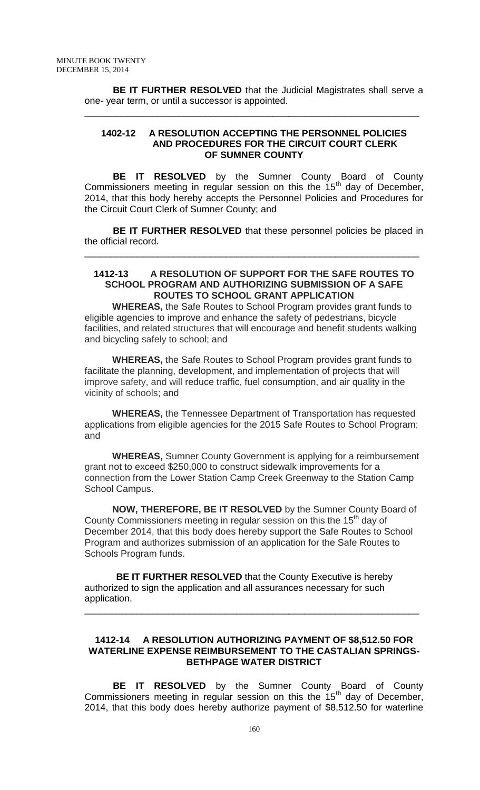**BE IT FURTHER RESOLVED** that the Judicial Magistrates shall serve a one- year term, or until a successor is appointed.

\_\_\_\_\_\_\_\_\_\_\_\_\_\_\_\_\_\_\_\_\_\_\_\_\_\_\_\_\_\_\_\_\_\_\_\_\_\_\_\_\_\_\_\_\_\_\_\_\_\_\_\_\_\_\_\_\_\_\_\_\_\_\_\_

### **1402-12 A RESOLUTION ACCEPTING THE PERSONNEL POLICIES AND PROCEDURES FOR THE CIRCUIT COURT CLERK OF SUMNER COUNTY**

**BE IT RESOLVED** by the Sumner County Board of County Commissioners meeting in regular session on this the  $15<sup>th</sup>$  day of December, 2014, that this body hereby accepts the Personnel Policies and Procedures for the Circuit Court Clerk of Sumner County; and

**BE IT FURTHER RESOLVED** that these personnel policies be placed in the official record.

\_\_\_\_\_\_\_\_\_\_\_\_\_\_\_\_\_\_\_\_\_\_\_\_\_\_\_\_\_\_\_\_\_\_\_\_\_\_\_\_\_\_\_\_\_\_\_\_\_\_\_\_\_\_\_\_\_\_\_\_\_\_\_\_

#### **1412-13 A RESOLUTION OF SUPPORT FOR THE SAFE ROUTES TO SCHOOL PROGRAM AND AUTHORIZING SUBMISSION OF A SAFE ROUTES TO SCHOOL GRANT APPLICATION**

**WHEREAS,** the Safe Routes to School Program provides grant funds to eligible agencies to improve and enhance the safety of pedestrians, bicycle facilities, and related structures that will encourage and benefit students walking and bicycling safely to school; and

**WHEREAS,** the Safe Routes to School Program provides grant funds to facilitate the planning, development, and implementation of projects that will improve safety, and will reduce traffic, fuel consumption, and air quality in the vicinity of schools; and

**WHEREAS,** the Tennessee Department of Transportation has requested applications from eligible agencies for the 2015 Safe Routes to School Program; and

**WHEREAS,** Sumner County Government is applying for a reimbursement grant not to exceed \$250,000 to construct sidewalk improvements for a connection from the Lower Station Camp Creek Greenway to the Station Camp School Campus.

**NOW, THEREFORE, BE IT RESOLVED** by the Sumner County Board of County Commissioners meeting in regular session on this the 15<sup>th</sup> day of December 2014, that this body does hereby support the Safe Routes to School Program and authorizes submission of an application for the Safe Routes to Schools Program funds.

 **BE IT FURTHER RESOLVED** that the County Executive is hereby authorized to sign the application and all assurances necessary for such application.

### **1412-14 A RESOLUTION AUTHORIZING PAYMENT OF \$8,512.50 FOR WATERLINE EXPENSE REIMBURSEMENT TO THE CASTALIAN SPRINGS-BETHPAGE WATER DISTRICT**

\_\_\_\_\_\_\_\_\_\_\_\_\_\_\_\_\_\_\_\_\_\_\_\_\_\_\_\_\_\_\_\_\_\_\_\_\_\_\_\_\_\_\_\_\_\_\_\_\_\_\_\_\_\_\_\_\_\_\_\_\_\_\_\_

**BE IT RESOLVED** by the Sumner County Board of County Commissioners meeting in regular session on this the  $15<sup>th</sup>$  day of December, 2014, that this body does hereby authorize payment of \$8,512.50 for waterline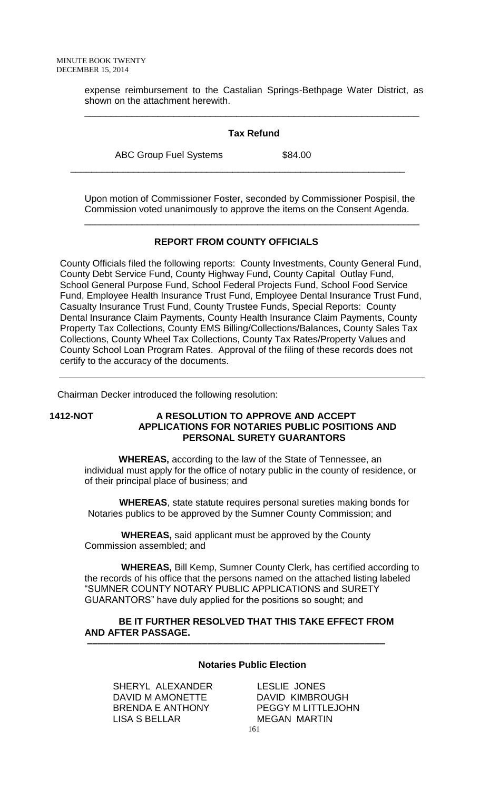expense reimbursement to the Castalian Springs-Bethpage Water District, as shown on the attachment herewith.

### **Tax Refund**

\_\_\_\_\_\_\_\_\_\_\_\_\_\_\_\_\_\_\_\_\_\_\_\_\_\_\_\_\_\_\_\_\_\_\_\_\_\_\_\_\_\_\_\_\_\_\_\_\_\_\_\_\_\_\_\_\_\_\_\_\_\_\_\_

ABC Group Fuel Systems \$84.00

Upon motion of Commissioner Foster, seconded by Commissioner Pospisil, the Commission voted unanimously to approve the items on the Consent Agenda.

\_\_\_\_\_\_\_\_\_\_\_\_\_\_\_\_\_\_\_\_\_\_\_\_\_\_\_\_\_\_\_\_\_\_\_\_\_\_\_\_\_\_\_\_\_\_\_\_\_\_\_\_\_\_\_\_\_\_\_\_\_\_\_\_

### **REPORT FROM COUNTY OFFICIALS**

\_\_\_\_\_\_\_\_\_\_\_\_\_\_\_\_\_\_\_\_\_\_\_\_\_\_\_\_\_\_\_\_\_\_\_\_\_\_\_\_\_\_\_\_\_\_\_\_\_\_\_\_\_\_\_\_\_\_\_\_\_\_\_\_

County Officials filed the following reports: County Investments, County General Fund, County Debt Service Fund, County Highway Fund, County Capital Outlay Fund, School General Purpose Fund, School Federal Projects Fund, School Food Service Fund, Employee Health Insurance Trust Fund, Employee Dental Insurance Trust Fund, Casualty Insurance Trust Fund, County Trustee Funds, Special Reports: County Dental Insurance Claim Payments, County Health Insurance Claim Payments, County Property Tax Collections, County EMS Billing/Collections/Balances, County Sales Tax Collections, County Wheel Tax Collections, County Tax Rates/Property Values and County School Loan Program Rates. Approval of the filing of these records does not certify to the accuracy of the documents.

Chairman Decker introduced the following resolution:

### **1412-NOT A RESOLUTION TO APPROVE AND ACCEPT APPLICATIONS FOR NOTARIES PUBLIC POSITIONS AND PERSONAL SURETY GUARANTORS**

 **WHEREAS,** according to the law of the State of Tennessee, an individual must apply for the office of notary public in the county of residence, or of their principal place of business; and

 **WHEREAS**, state statute requires personal sureties making bonds for Notaries publics to be approved by the Sumner County Commission; and

 **WHEREAS,** said applicant must be approved by the County Commission assembled; and

 **WHEREAS,** Bill Kemp, Sumner County Clerk, has certified according to the records of his office that the persons named on the attached listing labeled "SUMNER COUNTY NOTARY PUBLIC APPLICATIONS and SURETY GUARANTORS" have duly applied for the positions so sought; and

# **BE IT FURTHER RESOLVED THAT THIS TAKE EFFECT FROM AND AFTER PASSAGE.**

 **–––––––––––––––––––––––––––––––––––––––––––––––––––––––––**

### **Notaries Public Election**

SHERYL ALEXANDER LESLIE JONES DAVID M AMONETTE DAVID KIMBROUGH LISA S BELLAR MEGAN MARTIN

BRENDA E ANTHONY PEGGY M LITTLEJOHN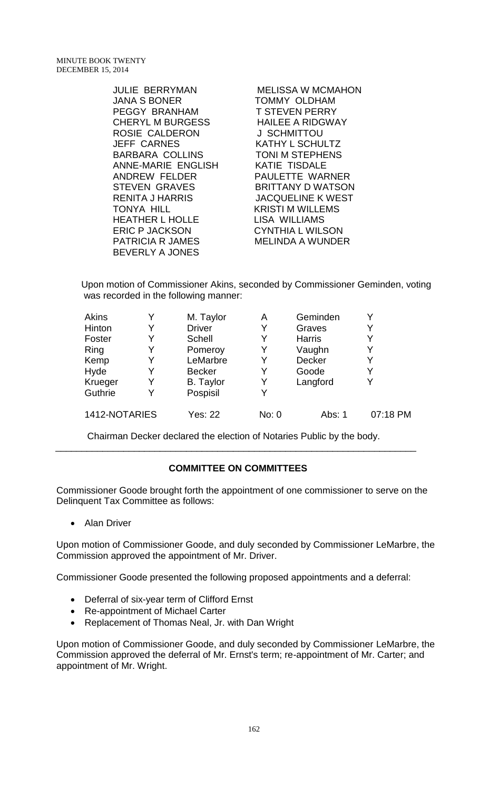JANA S BONER TOMMY OLDHAM PEGGY BRANHAM T STEVEN PERRY CHERYL M BURGESS HAILEE A RIDGWAY ROSIE CALDERON J SCHMITTOU JEFF CARNES KATHY L SCHULTZ BARBARA COLLINS TONI M STEPHENS ANNE-MARIE ENGLISH KATIE TISDALE ANDREW FELDER PAULETTE WARNER STEVEN GRAVES BRITTANY D WATSON RENITA J HARRIS JACQUELINE K WEST TONYA HILL **KRISTI M WILLEMS** HEATHER L HOLLE LISA WILLIAMS ERIC P JACKSON CYNTHIA L WILSON PATRICIA R JAMES MELINDA A WUNDER BEVERLY A JONES

JULIE BERRYMAN MELISSA W MCMAHON

Upon motion of Commissioner Akins, seconded by Commissioner Geminden, voting was recorded in the following manner:

| Akins         | M. Taylor        | A     | Geminden      |          |
|---------------|------------------|-------|---------------|----------|
| Hinton        | <b>Driver</b>    | Y     | Graves        |          |
| Foster        | Schell           |       | <b>Harris</b> |          |
| Ring          | Pomeroy          | Y     | Vaughn        |          |
| Kemp          | LeMarbre         | Y     | <b>Decker</b> |          |
| Hyde          | <b>Becker</b>    |       | Goode         |          |
| Krueger       | <b>B.</b> Taylor | Y     | Langford      |          |
| Guthrie       | Pospisil         |       |               |          |
| 1412-NOTARIES | Yes: 22          | No: 0 | Abs: 1        | 07:18 PM |

Chairman Decker declared the election of Notaries Public by the body. \_\_\_\_\_\_\_\_\_\_\_\_\_\_\_\_\_\_\_\_\_\_\_\_\_\_\_\_\_\_\_\_\_\_\_\_\_\_\_\_\_\_\_\_\_\_\_\_\_\_\_\_\_\_\_\_\_\_\_\_\_\_\_\_\_\_\_\_\_

# **COMMITTEE ON COMMITTEES**

Commissioner Goode brought forth the appointment of one commissioner to serve on the Delinquent Tax Committee as follows:

• Alan Driver

Upon motion of Commissioner Goode, and duly seconded by Commissioner LeMarbre, the Commission approved the appointment of Mr. Driver.

Commissioner Goode presented the following proposed appointments and a deferral:

- Deferral of six-year term of Clifford Ernst
- Re-appointment of Michael Carter
- Replacement of Thomas Neal, Jr. with Dan Wright

Upon motion of Commissioner Goode, and duly seconded by Commissioner LeMarbre, the Commission approved the deferral of Mr. Ernst's term; re-appointment of Mr. Carter; and appointment of Mr. Wright.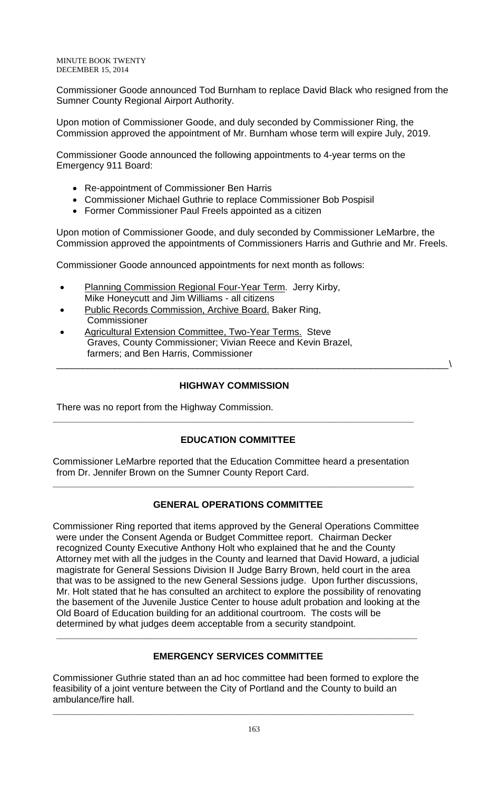MINUTE BOOK TWENTY DECEMBER 15, 2014

Commissioner Goode announced Tod Burnham to replace David Black who resigned from the Sumner County Regional Airport Authority.

Upon motion of Commissioner Goode, and duly seconded by Commissioner Ring, the Commission approved the appointment of Mr. Burnham whose term will expire July, 2019.

Commissioner Goode announced the following appointments to 4-year terms on the Emergency 911 Board:

- Re-appointment of Commissioner Ben Harris
- Commissioner Michael Guthrie to replace Commissioner Bob Pospisil
- Former Commissioner Paul Freels appointed as a citizen

Upon motion of Commissioner Goode, and duly seconded by Commissioner LeMarbre, the Commission approved the appointments of Commissioners Harris and Guthrie and Mr. Freels.

Commissioner Goode announced appointments for next month as follows:

- Planning Commission Regional Four-Year Term. Jerry Kirby, Mike Honeycutt and Jim Williams - all citizens
- Public Records Commission, Archive Board. Baker Ring, Commissioner
- Agricultural Extension Committee, Two-Year Terms. Steve Graves, County Commissioner; Vivian Reece and Kevin Brazel, farmers; and Ben Harris, Commissioner

# **HIGHWAY COMMISSION**

**\_\_\_\_\_\_\_\_\_\_\_\_\_\_\_\_\_\_\_\_\_\_\_\_\_\_\_\_\_\_\_\_\_\_\_\_\_\_\_\_\_\_\_\_\_\_\_\_\_\_\_\_\_\_\_\_\_\_\_\_\_\_\_\_\_\_\_\_\_**

\_\_\_\_\_\_\_\_\_\_\_\_\_\_\_\_\_\_\_\_\_\_\_\_\_\_\_\_\_\_\_\_\_\_\_\_\_\_\_\_\_\_\_\_\_\_\_\_\_\_\_\_\_\_\_\_\_\_\_\_\_\_\_\_\_\_\_\_\_\_\_\_\_\_\_\

There was no report from the Highway Commission.

# **EDUCATION COMMITTEE**

Commissioner LeMarbre reported that the Education Committee heard a presentation from Dr. Jennifer Brown on the Sumner County Report Card.

**\_\_\_\_\_\_\_\_\_\_\_\_\_\_\_\_\_\_\_\_\_\_\_\_\_\_\_\_\_\_\_\_\_\_\_\_\_\_\_\_\_\_\_\_\_\_\_\_\_\_\_\_\_\_\_\_\_\_\_\_\_\_\_\_\_\_\_\_\_**

# **GENERAL OPERATIONS COMMITTEE**

Commissioner Ring reported that items approved by the General Operations Committee were under the Consent Agenda or Budget Committee report. Chairman Decker recognized County Executive Anthony Holt who explained that he and the County Attorney met with all the judges in the County and learned that David Howard, a judicial magistrate for General Sessions Division II Judge Barry Brown, held court in the area that was to be assigned to the new General Sessions judge. Upon further discussions, Mr. Holt stated that he has consulted an architect to explore the possibility of renovating the basement of the Juvenile Justice Center to house adult probation and looking at the Old Board of Education building for an additional courtroom. The costs will be determined by what judges deem acceptable from a security standpoint.

# **EMERGENCY SERVICES COMMITTEE**

**\_\_\_\_\_\_\_\_\_\_\_\_\_\_\_\_\_\_\_\_\_\_\_\_\_\_\_\_\_\_\_\_\_\_\_\_\_\_\_\_\_\_\_\_\_\_\_\_\_\_\_\_\_\_\_\_\_\_\_\_\_\_\_\_\_\_\_\_\_**

Commissioner Guthrie stated than an ad hoc committee had been formed to explore the feasibility of a joint venture between the City of Portland and the County to build an ambulance/fire hall.

**\_\_\_\_\_\_\_\_\_\_\_\_\_\_\_\_\_\_\_\_\_\_\_\_\_\_\_\_\_\_\_\_\_\_\_\_\_\_\_\_\_\_\_\_\_\_\_\_\_\_\_\_\_\_\_\_\_\_\_\_\_\_\_\_\_\_\_\_\_**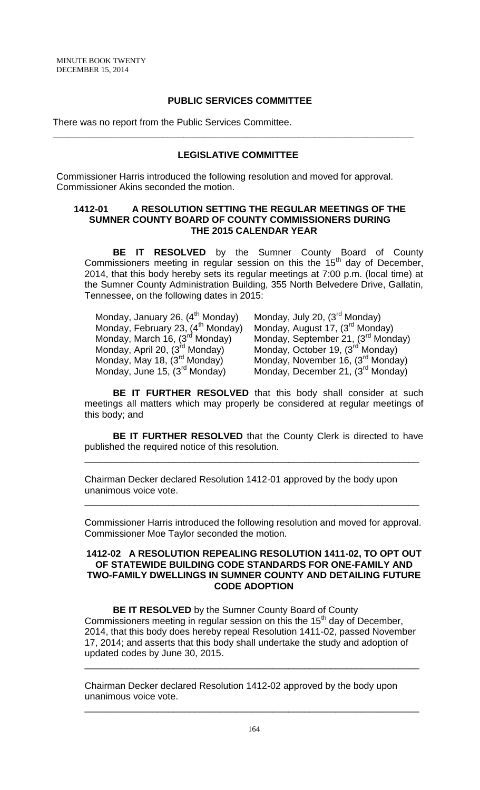### **PUBLIC SERVICES COMMITTEE**

There was no report from the Public Services Committee.

# **LEGISLATIVE COMMITTEE**

**\_\_\_\_\_\_\_\_\_\_\_\_\_\_\_\_\_\_\_\_\_\_\_\_\_\_\_\_\_\_\_\_\_\_\_\_\_\_\_\_\_\_\_\_\_\_\_\_\_\_\_\_\_\_\_\_\_\_\_\_\_\_\_\_\_\_\_\_\_**

Commissioner Harris introduced the following resolution and moved for approval. Commissioner Akins seconded the motion.

### **1412-01 A RESOLUTION SETTING THE REGULAR MEETINGS OF THE SUMNER COUNTY BOARD OF COUNTY COMMISSIONERS DURING THE 2015 CALENDAR YEAR**

**BE IT RESOLVED** by the Sumner County Board of County Commissioners meeting in regular session on this the  $15<sup>th</sup>$  day of December, 2014, that this body hereby sets its regular meetings at 7:00 p.m. (local time) at the Sumner County Administration Building, 355 North Belvedere Drive, Gallatin, Tennessee, on the following dates in 2015:

Monday, January 26, (4<sup>th</sup> Monday) Monday, July 20, (3<sup>rd</sup> Monday) Monday, February 23, (4<sup>th</sup> Monday) Monday, August 17, (3<sup>rd</sup> Monday) Monday, April 20, (3<sup>rd</sup> Monday) Monday, October 19, (3<sup>rd</sup> Monday)<br>Monday, May 18, (3<sup>rd</sup> Monday) Monday, November 16, (3<sup>rd</sup> Monda

Monday, February 23,  $(4^{th}$  Monday) Monday, August 17,  $(3^{rd}$  Monday)<br>Monday, March 16,  $(3^{rd}$  Monday) Monday, September 21,  $(3^{rd}$  Monday)<br>Monday, April 20,  $(3^{rd}$  Monday) Monday, October 19,  $(3^{rd}$  Monday) Monday, May 18, (3<sup>rd</sup> Monday) Monday, November 16, (3<sup>rd</sup> Monday)<br>Monday, June 15, (3<sup>rd</sup> Monday) Monday, December 21, (3<sup>rd</sup> Monday) Monday, December 21, (3<sup>rd</sup> Monday)

**BE IT FURTHER RESOLVED** that this body shall consider at such meetings all matters which may properly be considered at regular meetings of this body; and

**BE IT FURTHER RESOLVED** that the County Clerk is directed to have published the required notice of this resolution.

\_\_\_\_\_\_\_\_\_\_\_\_\_\_\_\_\_\_\_\_\_\_\_\_\_\_\_\_\_\_\_\_\_\_\_\_\_\_\_\_\_\_\_\_\_\_\_\_\_\_\_\_\_\_\_\_\_\_\_\_\_\_\_\_

Chairman Decker declared Resolution 1412-01 approved by the body upon unanimous voice vote.

Commissioner Harris introduced the following resolution and moved for approval. Commissioner Moe Taylor seconded the motion.

\_\_\_\_\_\_\_\_\_\_\_\_\_\_\_\_\_\_\_\_\_\_\_\_\_\_\_\_\_\_\_\_\_\_\_\_\_\_\_\_\_\_\_\_\_\_\_\_\_\_\_\_\_\_\_\_\_\_\_\_\_\_\_\_

### **1412-02 A RESOLUTION REPEALING RESOLUTION 1411-02, TO OPT OUT OF STATEWIDE BUILDING CODE STANDARDS FOR ONE-FAMILY AND TWO-FAMILY DWELLINGS IN SUMNER COUNTY AND DETAILING FUTURE CODE ADOPTION**

**BE IT RESOLVED** by the Sumner County Board of County Commissioners meeting in regular session on this the  $15<sup>th</sup>$  day of December, 2014, that this body does hereby repeal Resolution 1411-02, passed November 17, 2014; and asserts that this body shall undertake the study and adoption of updated codes by June 30, 2015.

\_\_\_\_\_\_\_\_\_\_\_\_\_\_\_\_\_\_\_\_\_\_\_\_\_\_\_\_\_\_\_\_\_\_\_\_\_\_\_\_\_\_\_\_\_\_\_\_\_\_\_\_\_\_\_\_\_\_\_\_\_\_\_\_

Chairman Decker declared Resolution 1412-02 approved by the body upon unanimous voice vote.

\_\_\_\_\_\_\_\_\_\_\_\_\_\_\_\_\_\_\_\_\_\_\_\_\_\_\_\_\_\_\_\_\_\_\_\_\_\_\_\_\_\_\_\_\_\_\_\_\_\_\_\_\_\_\_\_\_\_\_\_\_\_\_\_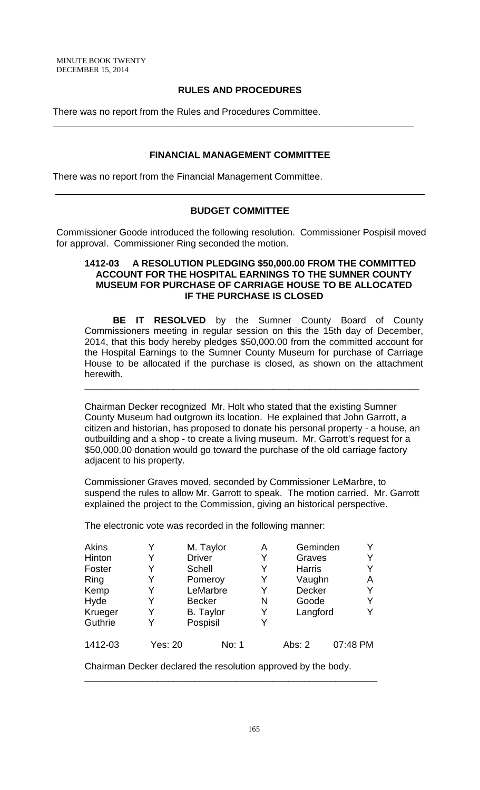### **RULES AND PROCEDURES**

**\_\_\_\_\_\_\_\_\_\_\_\_\_\_\_\_\_\_\_\_\_\_\_\_\_\_\_\_\_\_\_\_\_\_\_\_\_\_\_\_\_\_\_\_\_\_\_\_\_\_\_\_\_\_\_\_\_\_\_\_\_\_\_\_\_\_\_\_\_**

There was no report from the Rules and Procedures Committee.

### **FINANCIAL MANAGEMENT COMMITTEE**

There was no report from the Financial Management Committee.

### **BUDGET COMMITTEE**

Commissioner Goode introduced the following resolution. Commissioner Pospisil moved for approval. Commissioner Ring seconded the motion.

### **1412-03 A RESOLUTION PLEDGING \$50,000.00 FROM THE COMMITTED ACCOUNT FOR THE HOSPITAL EARNINGS TO THE SUMNER COUNTY MUSEUM FOR PURCHASE OF CARRIAGE HOUSE TO BE ALLOCATED IF THE PURCHASE IS CLOSED**

**BE IT RESOLVED** by the Sumner County Board of County Commissioners meeting in regular session on this the 15th day of December, 2014, that this body hereby pledges \$50,000.00 from the committed account for the Hospital Earnings to the Sumner County Museum for purchase of Carriage House to be allocated if the purchase is closed, as shown on the attachment herewith.

Chairman Decker recognized Mr. Holt who stated that the existing Sumner County Museum had outgrown its location. He explained that John Garrott, a citizen and historian, has proposed to donate his personal property - a house, an outbuilding and a shop - to create a living museum. Mr. Garrott's request for a \$50,000.00 donation would go toward the purchase of the old carriage factory adjacent to his property.

\_\_\_\_\_\_\_\_\_\_\_\_\_\_\_\_\_\_\_\_\_\_\_\_\_\_\_\_\_\_\_\_\_\_\_\_\_\_\_\_\_\_\_\_\_\_\_\_\_\_\_\_\_\_\_\_\_\_\_\_\_\_\_\_

Commissioner Graves moved, seconded by Commissioner LeMarbre, to suspend the rules to allow Mr. Garrott to speak. The motion carried. Mr. Garrott explained the project to the Commission, giving an historical perspective.

The electronic vote was recorded in the following manner:

| Akins   |         | M. Taylor        | Α | Geminden      |          |
|---------|---------|------------------|---|---------------|----------|
|         |         |                  |   |               |          |
| Hinton  |         | <b>Driver</b>    | Y | Graves        |          |
| Foster  |         | <b>Schell</b>    | Y | <b>Harris</b> |          |
| Ring    | Y       | Pomeroy          | Y | Vaughn        | A        |
| Kemp    | Y       | LeMarbre         | Y | <b>Decker</b> | Y        |
| Hyde    |         | <b>Becker</b>    | N | Goode         |          |
| Krueger | Y       | <b>B.</b> Taylor | Y | Langford      |          |
| Guthrie |         | Pospisil         | Y |               |          |
| 1412-03 | Yes: 20 | No: 1            |   | Abs: 2        | 07:48 PM |

Chairman Decker declared the resolution approved by the body.

\_\_\_\_\_\_\_\_\_\_\_\_\_\_\_\_\_\_\_\_\_\_\_\_\_\_\_\_\_\_\_\_\_\_\_\_\_\_\_\_\_\_\_\_\_\_\_\_\_\_\_\_\_\_\_\_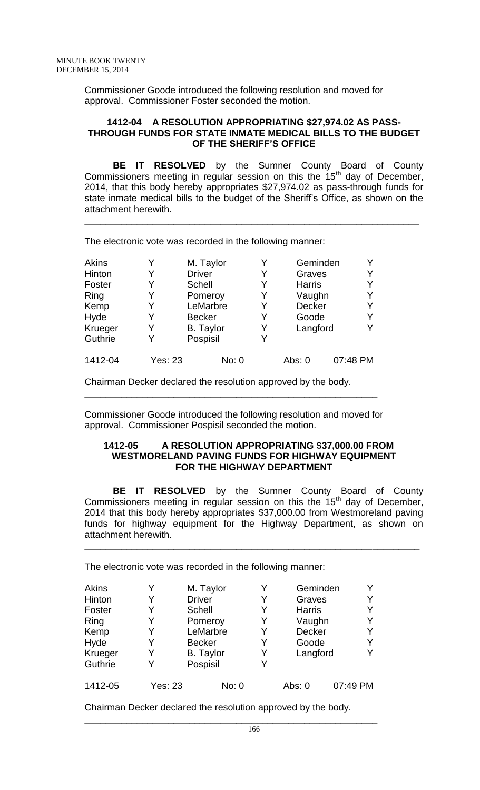Commissioner Goode introduced the following resolution and moved for approval. Commissioner Foster seconded the motion.

### **1412-04 A RESOLUTION APPROPRIATING \$27,974.02 AS PASS-THROUGH FUNDS FOR STATE INMATE MEDICAL BILLS TO THE BUDGET OF THE SHERIFF'S OFFICE**

**BE IT RESOLVED** by the Sumner County Board of County Commissioners meeting in regular session on this the  $15<sup>th</sup>$  day of December, 2014, that this body hereby appropriates \$27,974.02 as pass-through funds for state inmate medical bills to the budget of the Sheriff's Office, as shown on the attachment herewith.

\_\_\_\_\_\_\_\_\_\_\_\_\_\_\_\_\_\_\_\_\_\_\_\_\_\_\_\_\_\_\_\_\_\_\_\_\_\_\_\_\_\_\_\_\_\_\_\_\_\_\_\_\_\_\_\_\_\_\_\_\_\_\_\_

The electronic vote was recorded in the following manner:

| <b>Akins</b> |                | M. Taylor        | Y | Geminden      |          |   |
|--------------|----------------|------------------|---|---------------|----------|---|
| Hinton       |                | <b>Driver</b>    | Y | Graves        |          | Y |
| Foster       |                | Schell           | Y | <b>Harris</b> |          |   |
| Ring         |                | Pomeroy          | Y | Vaughn        |          | Y |
| Kemp         | Y              | LeMarbre         | Y | <b>Decker</b> |          | Y |
| Hyde         | Y              | <b>Becker</b>    | Y | Goode         |          | Y |
| Krueger      |                | <b>B.</b> Taylor | Y | Langford      |          |   |
| Guthrie      | Y              | Pospisil         | Y |               |          |   |
| 1412-04      | <b>Yes: 23</b> | No: 0            |   | Abs: 0        | 07:48 PM |   |

Chairman Decker declared the resolution approved by the body.

Commissioner Goode introduced the following resolution and moved for approval. Commissioner Pospisil seconded the motion.

\_\_\_\_\_\_\_\_\_\_\_\_\_\_\_\_\_\_\_\_\_\_\_\_\_\_\_\_\_\_\_\_\_\_\_\_\_\_\_\_\_\_\_\_\_\_\_\_\_\_\_\_\_\_\_\_

### **1412-05 A RESOLUTION APPROPRIATING \$37,000.00 FROM WESTMORELAND PAVING FUNDS FOR HIGHWAY EQUIPMENT FOR THE HIGHWAY DEPARTMENT**

**BE IT RESOLVED** by the Sumner County Board of County Commissioners meeting in regular session on this the  $15<sup>th</sup>$  day of December, 2014 that this body hereby appropriates \$37,000.00 from Westmoreland paving funds for highway equipment for the Highway Department, as shown on attachment herewith.

\_\_\_\_\_\_\_\_\_\_\_\_\_\_\_\_\_\_\_\_\_\_\_\_\_\_\_\_\_\_\_\_\_\_\_\_\_\_\_\_\_\_\_\_\_\_\_\_\_\_\_\_\_\_\_\_\_\_\_\_\_\_\_\_

The electronic vote was recorded in the following manner:

| Akins   |                | M. Taylor        |   | Geminden      |          |
|---------|----------------|------------------|---|---------------|----------|
| Hinton  | Y              | <b>Driver</b>    | Y | Graves        | Y        |
| Foster  |                | Schell           | Y | <b>Harris</b> | Y        |
| Ring    |                | Pomeroy          | Y | Vaughn        | Y        |
| Kemp    | Y              | LeMarbre         | Y | <b>Decker</b> | Y        |
| Hyde    | Y              | <b>Becker</b>    | Y | Goode         | Y        |
| Krueger |                | <b>B.</b> Taylor | Y | Langford      | Y        |
| Guthrie | Y              | Pospisil         | Y |               |          |
| 1412-05 | <b>Yes: 23</b> | No: 0            |   | Abs: $0$      | 07:49 PM |

Chairman Decker declared the resolution approved by the body.

\_\_\_\_\_\_\_\_\_\_\_\_\_\_\_\_\_\_\_\_\_\_\_\_\_\_\_\_\_\_\_\_\_\_\_\_\_\_\_\_\_\_\_\_\_\_\_\_\_\_\_\_\_\_\_\_